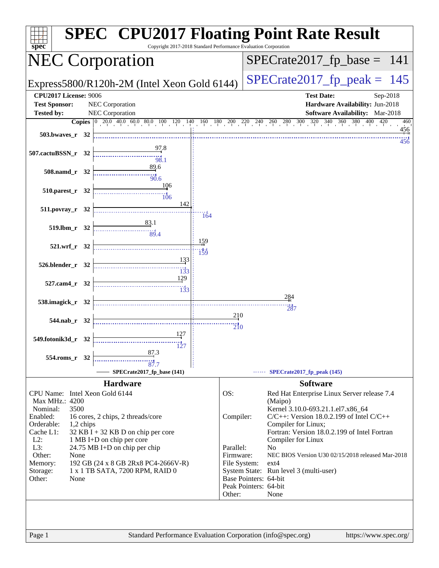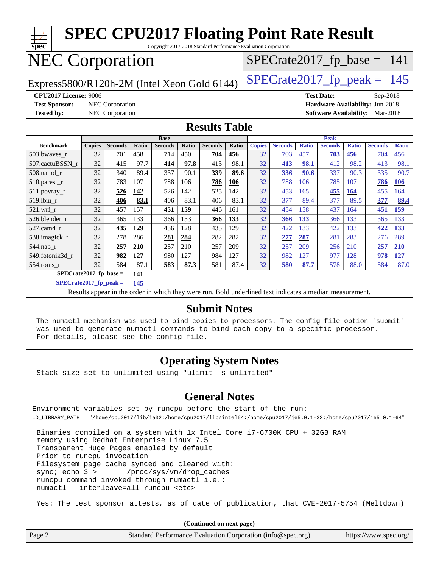

**[SPECrate2017\\_fp\\_base =](http://www.spec.org/auto/cpu2017/Docs/result-fields.html#SPECrate2017fpbase) 141**

**[SPECrate2017\\_fp\\_peak =](http://www.spec.org/auto/cpu2017/Docs/result-fields.html#SPECrate2017fppeak) 145**

Results appear in the [order in which they were run.](http://www.spec.org/auto/cpu2017/Docs/result-fields.html#RunOrder) Bold underlined text [indicates a median measurement.](http://www.spec.org/auto/cpu2017/Docs/result-fields.html#Median)

### **[Submit Notes](http://www.spec.org/auto/cpu2017/Docs/result-fields.html#SubmitNotes)**

 The numactl mechanism was used to bind copies to processors. The config file option 'submit' was used to generate numactl commands to bind each copy to a specific processor. For details, please see the config file.

### **[Operating System Notes](http://www.spec.org/auto/cpu2017/Docs/result-fields.html#OperatingSystemNotes)**

Stack size set to unlimited using "ulimit -s unlimited"

### **[General Notes](http://www.spec.org/auto/cpu2017/Docs/result-fields.html#GeneralNotes)**

Environment variables set by runcpu before the start of the run: LD\_LIBRARY\_PATH = "/home/cpu2017/lib/ia32:/home/cpu2017/lib/intel64:/home/cpu2017/je5.0.1-32:/home/cpu2017/je5.0.1-64"

 Binaries compiled on a system with 1x Intel Core i7-6700K CPU + 32GB RAM memory using Redhat Enterprise Linux 7.5 Transparent Huge Pages enabled by default Prior to runcpu invocation Filesystem page cache synced and cleared with: sync; echo 3 > /proc/sys/vm/drop\_caches runcpu command invoked through numactl i.e.: numactl --interleave=all runcpu <etc>

Yes: The test sponsor attests, as of date of publication, that CVE-2017-5754 (Meltdown)

**(Continued on next page)**

| Page 2 | Standard Performance Evaluation Corporation (info@spec.org) | https://www.spec.org/ |
|--------|-------------------------------------------------------------|-----------------------|
|--------|-------------------------------------------------------------|-----------------------|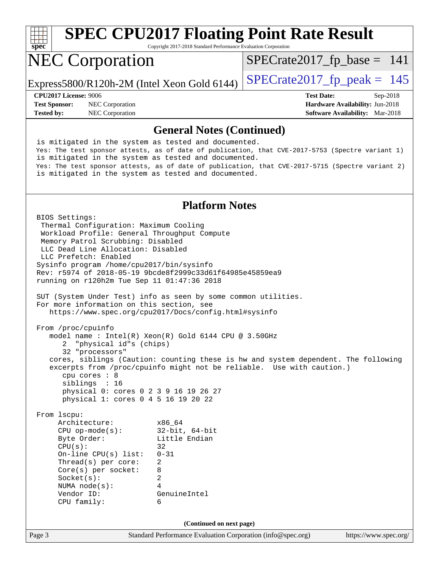

Copyright 2017-2018 Standard Performance Evaluation Corporation

## NEC Corporation

 $SPECrate2017_fp\_base = 141$ 

Express5800/R120h-2M (Intel Xeon Gold 6144)  $\left|$  [SPECrate2017\\_fp\\_peak =](http://www.spec.org/auto/cpu2017/Docs/result-fields.html#SPECrate2017fppeak) 145

**[Test Sponsor:](http://www.spec.org/auto/cpu2017/Docs/result-fields.html#TestSponsor)** NEC Corporation **[Hardware Availability:](http://www.spec.org/auto/cpu2017/Docs/result-fields.html#HardwareAvailability)** Jun-2018 **[Tested by:](http://www.spec.org/auto/cpu2017/Docs/result-fields.html#Testedby)** NEC Corporation **[Software Availability:](http://www.spec.org/auto/cpu2017/Docs/result-fields.html#SoftwareAvailability)** Mar-2018

**[CPU2017 License:](http://www.spec.org/auto/cpu2017/Docs/result-fields.html#CPU2017License)** 9006 **[Test Date:](http://www.spec.org/auto/cpu2017/Docs/result-fields.html#TestDate)** Sep-2018

### **[General Notes \(Continued\)](http://www.spec.org/auto/cpu2017/Docs/result-fields.html#GeneralNotes)**

 is mitigated in the system as tested and documented. Yes: The test sponsor attests, as of date of publication, that CVE-2017-5753 (Spectre variant 1) is mitigated in the system as tested and documented. Yes: The test sponsor attests, as of date of publication, that CVE-2017-5715 (Spectre variant 2) is mitigated in the system as tested and documented.

### **[Platform Notes](http://www.spec.org/auto/cpu2017/Docs/result-fields.html#PlatformNotes)**

Page 3 Standard Performance Evaluation Corporation [\(info@spec.org\)](mailto:info@spec.org) <https://www.spec.org/> BIOS Settings: Thermal Configuration: Maximum Cooling Workload Profile: General Throughput Compute Memory Patrol Scrubbing: Disabled LLC Dead Line Allocation: Disabled LLC Prefetch: Enabled Sysinfo program /home/cpu2017/bin/sysinfo Rev: r5974 of 2018-05-19 9bcde8f2999c33d61f64985e45859ea9 running on r120h2m Tue Sep 11 01:47:36 2018 SUT (System Under Test) info as seen by some common utilities. For more information on this section, see <https://www.spec.org/cpu2017/Docs/config.html#sysinfo> From /proc/cpuinfo model name : Intel(R) Xeon(R) Gold 6144 CPU @ 3.50GHz 2 "physical id"s (chips) 32 "processors" cores, siblings (Caution: counting these is hw and system dependent. The following excerpts from /proc/cpuinfo might not be reliable. Use with caution.) cpu cores : 8 siblings : 16 physical 0: cores 0 2 3 9 16 19 26 27 physical 1: cores 0 4 5 16 19 20 22 From lscpu: Architecture: x86\_64 CPU op-mode(s): 32-bit, 64-bit Byte Order: Little Endian  $CPU(s):$  32<br>On-line CPU(s) list: 0-31 On-line  $CPU(s)$  list: Thread(s) per core: 2 Core(s) per socket: 8 Socket(s): 2 NUMA node(s): 4 Vendor ID: GenuineIntel CPU family: 6 **(Continued on next page)**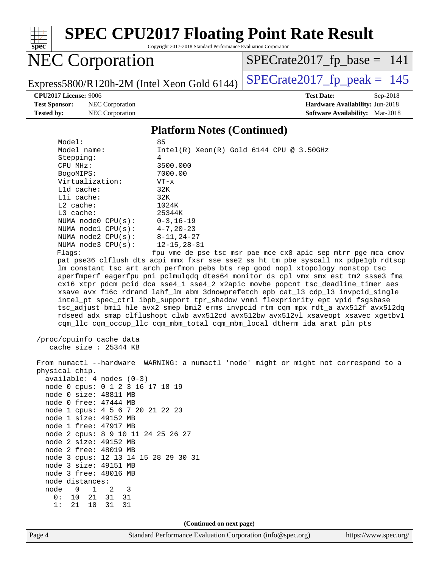

Copyright 2017-2018 Standard Performance Evaluation Corporation

## NEC Corporation

[SPECrate2017\\_fp\\_base =](http://www.spec.org/auto/cpu2017/Docs/result-fields.html#SPECrate2017fpbase) 141

Express5800/R120h-2M (Intel Xeon Gold 6144)  $\left|$  [SPECrate2017\\_fp\\_peak =](http://www.spec.org/auto/cpu2017/Docs/result-fields.html#SPECrate2017fppeak) 145

**[Tested by:](http://www.spec.org/auto/cpu2017/Docs/result-fields.html#Testedby)** NEC Corporation **[Software Availability:](http://www.spec.org/auto/cpu2017/Docs/result-fields.html#SoftwareAvailability)** Mar-2018

**[CPU2017 License:](http://www.spec.org/auto/cpu2017/Docs/result-fields.html#CPU2017License)** 9006 **[Test Date:](http://www.spec.org/auto/cpu2017/Docs/result-fields.html#TestDate)** Sep-2018 **[Test Sponsor:](http://www.spec.org/auto/cpu2017/Docs/result-fields.html#TestSponsor)** NEC Corporation **[Hardware Availability:](http://www.spec.org/auto/cpu2017/Docs/result-fields.html#HardwareAvailability)** Jun-2018

### **[Platform Notes \(Continued\)](http://www.spec.org/auto/cpu2017/Docs/result-fields.html#PlatformNotes)**

| Model:                             | 85                                                                                   |
|------------------------------------|--------------------------------------------------------------------------------------|
| Model name:                        | $Intel(R) Xeon(R) Gold 6144 CPU @ 3.50GHz$                                           |
| Stepping:                          | 4                                                                                    |
| CPU MHz:                           | 3500.000                                                                             |
| BogoMIPS:                          | 7000.00                                                                              |
| Virtualization:                    | $VT - x$                                                                             |
|                                    |                                                                                      |
| L1d cache:                         | 32K                                                                                  |
| Lli cache:                         | 32K                                                                                  |
| $L2$ cache:                        | 1024K                                                                                |
| $L3$ cache:                        | 25344K                                                                               |
| NUMA node0 $CPU(s): 0-3, 16-19$    |                                                                                      |
| NUMA nodel $CPU(s):$ 4-7, 20-23    |                                                                                      |
| NUMA node2 $CPU(s): 8-11, 24-27$   |                                                                                      |
| NUMA $node3$ CPU $(s)$ :           | $12 - 15, 28 - 31$                                                                   |
| Flags:                             | fpu vme de pse tsc msr pae mce cx8 apic sep mtrr pge mca cmov                        |
|                                    | pat pse36 clflush dts acpi mmx fxsr sse sse2 ss ht tm pbe syscall nx pdpe1gb rdtscp  |
|                                    | lm constant_tsc art arch_perfmon pebs bts rep_good nopl xtopology nonstop_tsc        |
|                                    | aperfmperf eagerfpu pni pclmulqdq dtes64 monitor ds_cpl vmx smx est tm2 ssse3 fma    |
|                                    | cx16 xtpr pdcm pcid dca sse4_1 sse4_2 x2apic movbe popcnt tsc_deadline_timer aes     |
|                                    | xsave avx f16c rdrand lahf_lm abm 3dnowprefetch epb cat_13 cdp_13 invpcid_single     |
|                                    | intel_pt spec_ctrl ibpb_support tpr_shadow vnmi flexpriority ept vpid fsgsbase       |
|                                    | tsc_adjust bmil hle avx2 smep bmi2 erms invpcid rtm cqm mpx rdt_a avx512f avx512dq   |
|                                    | rdseed adx smap clflushopt clwb avx512cd avx512bw avx512vl xsaveopt xsavec xgetbvl   |
|                                    |                                                                                      |
|                                    | com llc com occup llc com mbm total com mbm local dtherm ida arat pln pts            |
|                                    |                                                                                      |
| /proc/cpuinfo cache data           |                                                                                      |
| cache size : 25344 KB              |                                                                                      |
|                                    |                                                                                      |
|                                    | From numactl --hardware WARNING: a numactl 'node' might or might not correspond to a |
| physical chip.                     |                                                                                      |
| $available: 4 nodes (0-3)$         |                                                                                      |
| node 0 cpus: 0 1 2 3 16 17 18 19   |                                                                                      |
| node 0 size: 48811 MB              |                                                                                      |
| node 0 free: 47444 MB              |                                                                                      |
| node 1 cpus: 4 5 6 7 20 21 22 23   |                                                                                      |
| node 1 size: 49152 MB              |                                                                                      |
| node 1 free: 47917 MB              |                                                                                      |
| node 2 cpus: 8 9 10 11 24 25 26 27 |                                                                                      |
| node 2 size: 49152 MB              |                                                                                      |
|                                    |                                                                                      |

**(Continued on next page)**

node 2 free: 48019 MB

 node 3 size: 49151 MB node 3 free: 48016 MB

 node distances: node 0 1 2 3 0: 10 21 31 31 1: 21 10 31 31

node 3 cpus: 12 13 14 15 28 29 30 31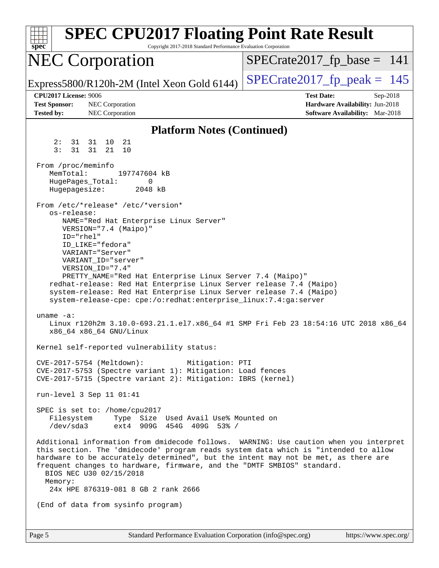| <b>SPEC CPU2017 Floating Point Rate Result</b><br>Copyright 2017-2018 Standard Performance Evaluation Corporation<br>spec <sup>®</sup>                                                                                                                                                                                                                                                                                                                                                                |                                                                                                            |
|-------------------------------------------------------------------------------------------------------------------------------------------------------------------------------------------------------------------------------------------------------------------------------------------------------------------------------------------------------------------------------------------------------------------------------------------------------------------------------------------------------|------------------------------------------------------------------------------------------------------------|
| <b>NEC Corporation</b>                                                                                                                                                                                                                                                                                                                                                                                                                                                                                | $SPECrate2017_fp\_base = 141$                                                                              |
| Express5800/R120h-2M (Intel Xeon Gold 6144)                                                                                                                                                                                                                                                                                                                                                                                                                                                           | $SPECrate2017fr peak = 145$                                                                                |
| <b>CPU2017 License: 9006</b><br><b>Test Sponsor:</b><br><b>NEC</b> Corporation<br><b>Tested by:</b><br>NEC Corporation                                                                                                                                                                                                                                                                                                                                                                                | <b>Test Date:</b><br>Sep-2018<br>Hardware Availability: Jun-2018<br><b>Software Availability:</b> Mar-2018 |
| <b>Platform Notes (Continued)</b>                                                                                                                                                                                                                                                                                                                                                                                                                                                                     |                                                                                                            |
| 2:<br>31 31 10<br>-21<br>3:<br>31<br>31 21<br>10                                                                                                                                                                                                                                                                                                                                                                                                                                                      |                                                                                                            |
| From /proc/meminfo<br>MemTotal:<br>197747604 kB<br>HugePages_Total:<br>0<br>Hugepagesize:<br>2048 kB                                                                                                                                                                                                                                                                                                                                                                                                  |                                                                                                            |
| From /etc/*release* /etc/*version*<br>os-release:<br>NAME="Red Hat Enterprise Linux Server"<br>VERSION="7.4 (Maipo)"<br>$ID="rhe1"$<br>ID LIKE="fedora"<br>VARIANT="Server"<br>VARIANT ID="server"<br>VERSION_ID="7.4"<br>PRETTY_NAME="Red Hat Enterprise Linux Server 7.4 (Maipo)"<br>redhat-release: Red Hat Enterprise Linux Server release 7.4 (Maipo)<br>system-release: Red Hat Enterprise Linux Server release 7.4 (Maipo)<br>system-release-cpe: cpe:/o:redhat:enterprise_linux:7.4:ga:server |                                                                                                            |
| uname $-a$ :<br>Linux r120h2m 3.10.0-693.21.1.el7.x86_64 #1 SMP Fri Feb 23 18:54:16 UTC 2018 x86_64<br>x86_64 x86_64 GNU/Linux                                                                                                                                                                                                                                                                                                                                                                        |                                                                                                            |
| Kernel self-reported vulnerability status:                                                                                                                                                                                                                                                                                                                                                                                                                                                            |                                                                                                            |
| CVE-2017-5754 (Meltdown):<br>Mitigation: PTI<br>CVE-2017-5753 (Spectre variant 1): Mitigation: Load fences<br>CVE-2017-5715 (Spectre variant 2): Mitigation: IBRS (kernel)                                                                                                                                                                                                                                                                                                                            |                                                                                                            |
| run-level 3 Sep 11 01:41                                                                                                                                                                                                                                                                                                                                                                                                                                                                              |                                                                                                            |
| SPEC is set to: /home/cpu2017<br>Filesystem Type Size Used Avail Use% Mounted on<br>/dev/sda3<br>ext4 909G 454G 409G 53% /                                                                                                                                                                                                                                                                                                                                                                            |                                                                                                            |
| Additional information from dmidecode follows. WARNING: Use caution when you interpret<br>this section. The 'dmidecode' program reads system data which is "intended to allow<br>hardware to be accurately determined", but the intent may not be met, as there are<br>frequent changes to hardware, firmware, and the "DMTF SMBIOS" standard.<br>BIOS NEC U30 02/15/2018<br>Memory:<br>24x HPE 876319-081 8 GB 2 rank 2666                                                                           |                                                                                                            |
| (End of data from sysinfo program)                                                                                                                                                                                                                                                                                                                                                                                                                                                                    |                                                                                                            |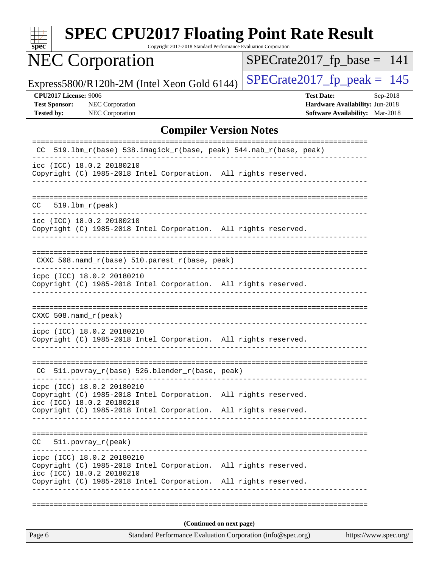| spe<br>U |  |  |  |  |  |
|----------|--|--|--|--|--|

Copyright 2017-2018 Standard Performance Evaluation Corporation

# NEC Corporation

[SPECrate2017\\_fp\\_base =](http://www.spec.org/auto/cpu2017/Docs/result-fields.html#SPECrate2017fpbase) 141

Express5800/R120h-2M (Intel Xeon Gold 6144)  $\left|$  [SPECrate2017\\_fp\\_peak =](http://www.spec.org/auto/cpu2017/Docs/result-fields.html#SPECrate2017fppeak) 145

**[CPU2017 License:](http://www.spec.org/auto/cpu2017/Docs/result-fields.html#CPU2017License)** 9006 **[Test Date:](http://www.spec.org/auto/cpu2017/Docs/result-fields.html#TestDate)** Sep-2018 **[Test Sponsor:](http://www.spec.org/auto/cpu2017/Docs/result-fields.html#TestSponsor)** NEC Corporation **[Hardware Availability:](http://www.spec.org/auto/cpu2017/Docs/result-fields.html#HardwareAvailability)** Jun-2018 **[Tested by:](http://www.spec.org/auto/cpu2017/Docs/result-fields.html#Testedby)** NEC Corporation **[Software Availability:](http://www.spec.org/auto/cpu2017/Docs/result-fields.html#SoftwareAvailability)** Mar-2018

### **[Compiler Version Notes](http://www.spec.org/auto/cpu2017/Docs/result-fields.html#CompilerVersionNotes)**

| Standard Performance Evaluation Corporation (info@spec.org)<br>https://www.spec.org/<br>Page 6                             |  |  |  |  |  |  |
|----------------------------------------------------------------------------------------------------------------------------|--|--|--|--|--|--|
| (Continued on next page)                                                                                                   |  |  |  |  |  |  |
|                                                                                                                            |  |  |  |  |  |  |
| icc (ICC) 18.0.2 20180210<br>Copyright (C) 1985-2018 Intel Corporation. All rights reserved.                               |  |  |  |  |  |  |
| ___________________<br>icpc (ICC) 18.0.2 20180210<br>Copyright (C) 1985-2018 Intel Corporation. All rights reserved.       |  |  |  |  |  |  |
| 511.povray_r(peak)<br>CC.                                                                                                  |  |  |  |  |  |  |
| Copyright (C) 1985-2018 Intel Corporation. All rights reserved.                                                            |  |  |  |  |  |  |
| icpc (ICC) 18.0.2 20180210<br>Copyright (C) 1985-2018 Intel Corporation. All rights reserved.<br>icc (ICC) 18.0.2 20180210 |  |  |  |  |  |  |
| CC 511.povray_r(base) 526.blender_r(base, peak)                                                                            |  |  |  |  |  |  |
| icpc (ICC) 18.0.2 20180210<br>Copyright (C) 1985-2018 Intel Corporation. All rights reserved.                              |  |  |  |  |  |  |
| $CXXC 508.namd_r (peak)$                                                                                                   |  |  |  |  |  |  |
| Copyright (C) 1985-2018 Intel Corporation. All rights reserved.                                                            |  |  |  |  |  |  |
| icpc (ICC) 18.0.2 20180210                                                                                                 |  |  |  |  |  |  |
| CXXC 508.namd_r(base) 510.parest_r(base, peak)                                                                             |  |  |  |  |  |  |
| icc (ICC) 18.0.2 20180210<br>Copyright (C) 1985-2018 Intel Corporation. All rights reserved.                               |  |  |  |  |  |  |
| $519.1bm_r(peak)$<br>CC.                                                                                                   |  |  |  |  |  |  |
| icc (ICC) 18.0.2 20180210<br>Copyright (C) 1985-2018 Intel Corporation. All rights reserved.                               |  |  |  |  |  |  |
| 519.1bm_r(base) 538.imagick_r(base, peak) 544.nab_r(base, peak)<br>CC.                                                     |  |  |  |  |  |  |
|                                                                                                                            |  |  |  |  |  |  |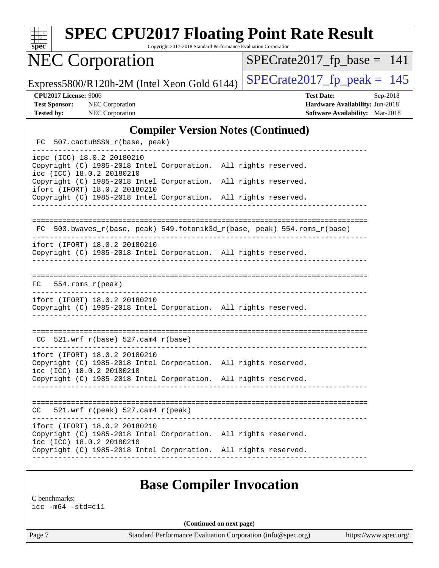| S<br>pe<br>v |  |  |  |  |  |
|--------------|--|--|--|--|--|

Copyright 2017-2018 Standard Performance Evaluation Corporation

# NEC Corporation

 $SPECTate2017_fp\_base = 141$ 

Express5800/R120h-2M (Intel Xeon Gold 6144)  $\left|$  [SPECrate2017\\_fp\\_peak =](http://www.spec.org/auto/cpu2017/Docs/result-fields.html#SPECrate2017fppeak) 145

**[CPU2017 License:](http://www.spec.org/auto/cpu2017/Docs/result-fields.html#CPU2017License)** 9006 **[Test Date:](http://www.spec.org/auto/cpu2017/Docs/result-fields.html#TestDate)** Sep-2018 **[Test Sponsor:](http://www.spec.org/auto/cpu2017/Docs/result-fields.html#TestSponsor)** NEC Corporation **[Hardware Availability:](http://www.spec.org/auto/cpu2017/Docs/result-fields.html#HardwareAvailability)** Jun-2018 **[Tested by:](http://www.spec.org/auto/cpu2017/Docs/result-fields.html#Testedby)** NEC Corporation **[Software Availability:](http://www.spec.org/auto/cpu2017/Docs/result-fields.html#SoftwareAvailability)** Mar-2018

### **[Compiler Version Notes \(Continued\)](http://www.spec.org/auto/cpu2017/Docs/result-fields.html#CompilerVersionNotes)**

FC 507.cactuBSSN r(base, peak) ----------------------------------------------------------------------------- icpc (ICC) 18.0.2 20180210 Copyright (C) 1985-2018 Intel Corporation. All rights reserved. icc (ICC) 18.0.2 20180210 Copyright (C) 1985-2018 Intel Corporation. All rights reserved. ifort (IFORT) 18.0.2 20180210 Copyright (C) 1985-2018 Intel Corporation. All rights reserved. ------------------------------------------------------------------------------ ============================================================================== FC 503.bwaves\_r(base, peak) 549.fotonik3d\_r(base, peak) 554.roms\_r(base) ----------------------------------------------------------------------------- ifort (IFORT) 18.0.2 20180210 Copyright (C) 1985-2018 Intel Corporation. All rights reserved. ------------------------------------------------------------------------------ ============================================================================== FC 554.roms\_r(peak) ----------------------------------------------------------------------------- ifort (IFORT) 18.0.2 20180210 Copyright (C) 1985-2018 Intel Corporation. All rights reserved. ------------------------------------------------------------------------------ ==============================================================================  $CC$  521.wrf $_r(base)$  527.cam $4_r(base)$ ----------------------------------------------------------------------------- ifort (IFORT) 18.0.2 20180210 Copyright (C) 1985-2018 Intel Corporation. All rights reserved. icc (ICC) 18.0.2 20180210 Copyright (C) 1985-2018 Intel Corporation. All rights reserved. ------------------------------------------------------------------------------ ==============================================================================  $CC = 521.wrf_r(peak) 527.cam4_r(peak)$ ----------------------------------------------------------------------------- ifort (IFORT) 18.0.2 20180210 Copyright (C) 1985-2018 Intel Corporation. All rights reserved. icc (ICC) 18.0.2 20180210 Copyright (C) 1985-2018 Intel Corporation. All rights reserved. ------------------------------------------------------------------------------

### **[Base Compiler Invocation](http://www.spec.org/auto/cpu2017/Docs/result-fields.html#BaseCompilerInvocation)**

[C benchmarks:](http://www.spec.org/auto/cpu2017/Docs/result-fields.html#Cbenchmarks) [icc -m64 -std=c11](http://www.spec.org/cpu2017/results/res2018q4/cpu2017-20180917-08894.flags.html#user_CCbase_intel_icc_64bit_c11_33ee0cdaae7deeeab2a9725423ba97205ce30f63b9926c2519791662299b76a0318f32ddfffdc46587804de3178b4f9328c46fa7c2b0cd779d7a61945c91cd35)

**(Continued on next page)**

Page 7 Standard Performance Evaluation Corporation [\(info@spec.org\)](mailto:info@spec.org) <https://www.spec.org/>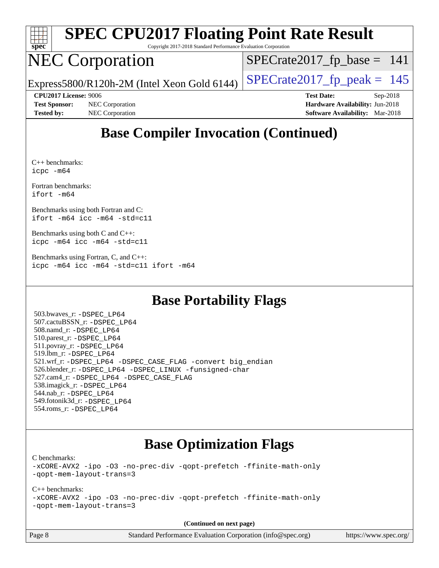

Copyright 2017-2018 Standard Performance Evaluation Corporation

## NEC Corporation

[SPECrate2017\\_fp\\_base =](http://www.spec.org/auto/cpu2017/Docs/result-fields.html#SPECrate2017fpbase) 141

Express5800/R120h-2M (Intel Xeon Gold 6144)  $\left|$  [SPECrate2017\\_fp\\_peak =](http://www.spec.org/auto/cpu2017/Docs/result-fields.html#SPECrate2017fppeak) 145

**[Test Sponsor:](http://www.spec.org/auto/cpu2017/Docs/result-fields.html#TestSponsor)** NEC Corporation **[Hardware Availability:](http://www.spec.org/auto/cpu2017/Docs/result-fields.html#HardwareAvailability)** Jun-2018 **[Tested by:](http://www.spec.org/auto/cpu2017/Docs/result-fields.html#Testedby)** NEC Corporation **[Software Availability:](http://www.spec.org/auto/cpu2017/Docs/result-fields.html#SoftwareAvailability)** Mar-2018

**[CPU2017 License:](http://www.spec.org/auto/cpu2017/Docs/result-fields.html#CPU2017License)** 9006 **[Test Date:](http://www.spec.org/auto/cpu2017/Docs/result-fields.html#TestDate)** Sep-2018

### **[Base Compiler Invocation \(Continued\)](http://www.spec.org/auto/cpu2017/Docs/result-fields.html#BaseCompilerInvocation)**

[C++ benchmarks](http://www.spec.org/auto/cpu2017/Docs/result-fields.html#CXXbenchmarks): [icpc -m64](http://www.spec.org/cpu2017/results/res2018q4/cpu2017-20180917-08894.flags.html#user_CXXbase_intel_icpc_64bit_4ecb2543ae3f1412ef961e0650ca070fec7b7afdcd6ed48761b84423119d1bf6bdf5cad15b44d48e7256388bc77273b966e5eb805aefd121eb22e9299b2ec9d9)

[Fortran benchmarks](http://www.spec.org/auto/cpu2017/Docs/result-fields.html#Fortranbenchmarks): [ifort -m64](http://www.spec.org/cpu2017/results/res2018q4/cpu2017-20180917-08894.flags.html#user_FCbase_intel_ifort_64bit_24f2bb282fbaeffd6157abe4f878425411749daecae9a33200eee2bee2fe76f3b89351d69a8130dd5949958ce389cf37ff59a95e7a40d588e8d3a57e0c3fd751)

[Benchmarks using both Fortran and C:](http://www.spec.org/auto/cpu2017/Docs/result-fields.html#BenchmarksusingbothFortranandC) [ifort -m64](http://www.spec.org/cpu2017/results/res2018q4/cpu2017-20180917-08894.flags.html#user_CC_FCbase_intel_ifort_64bit_24f2bb282fbaeffd6157abe4f878425411749daecae9a33200eee2bee2fe76f3b89351d69a8130dd5949958ce389cf37ff59a95e7a40d588e8d3a57e0c3fd751) [icc -m64 -std=c11](http://www.spec.org/cpu2017/results/res2018q4/cpu2017-20180917-08894.flags.html#user_CC_FCbase_intel_icc_64bit_c11_33ee0cdaae7deeeab2a9725423ba97205ce30f63b9926c2519791662299b76a0318f32ddfffdc46587804de3178b4f9328c46fa7c2b0cd779d7a61945c91cd35)

[Benchmarks using both C and C++](http://www.spec.org/auto/cpu2017/Docs/result-fields.html#BenchmarksusingbothCandCXX): [icpc -m64](http://www.spec.org/cpu2017/results/res2018q4/cpu2017-20180917-08894.flags.html#user_CC_CXXbase_intel_icpc_64bit_4ecb2543ae3f1412ef961e0650ca070fec7b7afdcd6ed48761b84423119d1bf6bdf5cad15b44d48e7256388bc77273b966e5eb805aefd121eb22e9299b2ec9d9) [icc -m64 -std=c11](http://www.spec.org/cpu2017/results/res2018q4/cpu2017-20180917-08894.flags.html#user_CC_CXXbase_intel_icc_64bit_c11_33ee0cdaae7deeeab2a9725423ba97205ce30f63b9926c2519791662299b76a0318f32ddfffdc46587804de3178b4f9328c46fa7c2b0cd779d7a61945c91cd35)

[Benchmarks using Fortran, C, and C++:](http://www.spec.org/auto/cpu2017/Docs/result-fields.html#BenchmarksusingFortranCandCXX) [icpc -m64](http://www.spec.org/cpu2017/results/res2018q4/cpu2017-20180917-08894.flags.html#user_CC_CXX_FCbase_intel_icpc_64bit_4ecb2543ae3f1412ef961e0650ca070fec7b7afdcd6ed48761b84423119d1bf6bdf5cad15b44d48e7256388bc77273b966e5eb805aefd121eb22e9299b2ec9d9) [icc -m64 -std=c11](http://www.spec.org/cpu2017/results/res2018q4/cpu2017-20180917-08894.flags.html#user_CC_CXX_FCbase_intel_icc_64bit_c11_33ee0cdaae7deeeab2a9725423ba97205ce30f63b9926c2519791662299b76a0318f32ddfffdc46587804de3178b4f9328c46fa7c2b0cd779d7a61945c91cd35) [ifort -m64](http://www.spec.org/cpu2017/results/res2018q4/cpu2017-20180917-08894.flags.html#user_CC_CXX_FCbase_intel_ifort_64bit_24f2bb282fbaeffd6157abe4f878425411749daecae9a33200eee2bee2fe76f3b89351d69a8130dd5949958ce389cf37ff59a95e7a40d588e8d3a57e0c3fd751)

### **[Base Portability Flags](http://www.spec.org/auto/cpu2017/Docs/result-fields.html#BasePortabilityFlags)**

 503.bwaves\_r: [-DSPEC\\_LP64](http://www.spec.org/cpu2017/results/res2018q4/cpu2017-20180917-08894.flags.html#suite_basePORTABILITY503_bwaves_r_DSPEC_LP64) 507.cactuBSSN\_r: [-DSPEC\\_LP64](http://www.spec.org/cpu2017/results/res2018q4/cpu2017-20180917-08894.flags.html#suite_basePORTABILITY507_cactuBSSN_r_DSPEC_LP64) 508.namd\_r: [-DSPEC\\_LP64](http://www.spec.org/cpu2017/results/res2018q4/cpu2017-20180917-08894.flags.html#suite_basePORTABILITY508_namd_r_DSPEC_LP64) 510.parest\_r: [-DSPEC\\_LP64](http://www.spec.org/cpu2017/results/res2018q4/cpu2017-20180917-08894.flags.html#suite_basePORTABILITY510_parest_r_DSPEC_LP64) 511.povray\_r: [-DSPEC\\_LP64](http://www.spec.org/cpu2017/results/res2018q4/cpu2017-20180917-08894.flags.html#suite_basePORTABILITY511_povray_r_DSPEC_LP64) 519.lbm\_r: [-DSPEC\\_LP64](http://www.spec.org/cpu2017/results/res2018q4/cpu2017-20180917-08894.flags.html#suite_basePORTABILITY519_lbm_r_DSPEC_LP64) 521.wrf\_r: [-DSPEC\\_LP64](http://www.spec.org/cpu2017/results/res2018q4/cpu2017-20180917-08894.flags.html#suite_basePORTABILITY521_wrf_r_DSPEC_LP64) [-DSPEC\\_CASE\\_FLAG](http://www.spec.org/cpu2017/results/res2018q4/cpu2017-20180917-08894.flags.html#b521.wrf_r_baseCPORTABILITY_DSPEC_CASE_FLAG) [-convert big\\_endian](http://www.spec.org/cpu2017/results/res2018q4/cpu2017-20180917-08894.flags.html#user_baseFPORTABILITY521_wrf_r_convert_big_endian_c3194028bc08c63ac5d04de18c48ce6d347e4e562e8892b8bdbdc0214820426deb8554edfa529a3fb25a586e65a3d812c835984020483e7e73212c4d31a38223) 526.blender\_r: [-DSPEC\\_LP64](http://www.spec.org/cpu2017/results/res2018q4/cpu2017-20180917-08894.flags.html#suite_basePORTABILITY526_blender_r_DSPEC_LP64) [-DSPEC\\_LINUX](http://www.spec.org/cpu2017/results/res2018q4/cpu2017-20180917-08894.flags.html#b526.blender_r_baseCPORTABILITY_DSPEC_LINUX) [-funsigned-char](http://www.spec.org/cpu2017/results/res2018q4/cpu2017-20180917-08894.flags.html#user_baseCPORTABILITY526_blender_r_force_uchar_40c60f00ab013830e2dd6774aeded3ff59883ba5a1fc5fc14077f794d777847726e2a5858cbc7672e36e1b067e7e5c1d9a74f7176df07886a243d7cc18edfe67) 527.cam4\_r: [-DSPEC\\_LP64](http://www.spec.org/cpu2017/results/res2018q4/cpu2017-20180917-08894.flags.html#suite_basePORTABILITY527_cam4_r_DSPEC_LP64) [-DSPEC\\_CASE\\_FLAG](http://www.spec.org/cpu2017/results/res2018q4/cpu2017-20180917-08894.flags.html#b527.cam4_r_baseCPORTABILITY_DSPEC_CASE_FLAG) 538.imagick\_r: [-DSPEC\\_LP64](http://www.spec.org/cpu2017/results/res2018q4/cpu2017-20180917-08894.flags.html#suite_basePORTABILITY538_imagick_r_DSPEC_LP64) 544.nab\_r: [-DSPEC\\_LP64](http://www.spec.org/cpu2017/results/res2018q4/cpu2017-20180917-08894.flags.html#suite_basePORTABILITY544_nab_r_DSPEC_LP64) 549.fotonik3d\_r: [-DSPEC\\_LP64](http://www.spec.org/cpu2017/results/res2018q4/cpu2017-20180917-08894.flags.html#suite_basePORTABILITY549_fotonik3d_r_DSPEC_LP64) 554.roms\_r: [-DSPEC\\_LP64](http://www.spec.org/cpu2017/results/res2018q4/cpu2017-20180917-08894.flags.html#suite_basePORTABILITY554_roms_r_DSPEC_LP64)

### **[Base Optimization Flags](http://www.spec.org/auto/cpu2017/Docs/result-fields.html#BaseOptimizationFlags)**

[C benchmarks](http://www.spec.org/auto/cpu2017/Docs/result-fields.html#Cbenchmarks):

[-xCORE-AVX2](http://www.spec.org/cpu2017/results/res2018q4/cpu2017-20180917-08894.flags.html#user_CCbase_f-xCORE-AVX2) [-ipo](http://www.spec.org/cpu2017/results/res2018q4/cpu2017-20180917-08894.flags.html#user_CCbase_f-ipo) [-O3](http://www.spec.org/cpu2017/results/res2018q4/cpu2017-20180917-08894.flags.html#user_CCbase_f-O3) [-no-prec-div](http://www.spec.org/cpu2017/results/res2018q4/cpu2017-20180917-08894.flags.html#user_CCbase_f-no-prec-div) [-qopt-prefetch](http://www.spec.org/cpu2017/results/res2018q4/cpu2017-20180917-08894.flags.html#user_CCbase_f-qopt-prefetch) [-ffinite-math-only](http://www.spec.org/cpu2017/results/res2018q4/cpu2017-20180917-08894.flags.html#user_CCbase_f_finite_math_only_cb91587bd2077682c4b38af759c288ed7c732db004271a9512da14a4f8007909a5f1427ecbf1a0fb78ff2a814402c6114ac565ca162485bbcae155b5e4258871) [-qopt-mem-layout-trans=3](http://www.spec.org/cpu2017/results/res2018q4/cpu2017-20180917-08894.flags.html#user_CCbase_f-qopt-mem-layout-trans_de80db37974c74b1f0e20d883f0b675c88c3b01e9d123adea9b28688d64333345fb62bc4a798493513fdb68f60282f9a726aa07f478b2f7113531aecce732043)

### [C++ benchmarks:](http://www.spec.org/auto/cpu2017/Docs/result-fields.html#CXXbenchmarks)

[-xCORE-AVX2](http://www.spec.org/cpu2017/results/res2018q4/cpu2017-20180917-08894.flags.html#user_CXXbase_f-xCORE-AVX2) [-ipo](http://www.spec.org/cpu2017/results/res2018q4/cpu2017-20180917-08894.flags.html#user_CXXbase_f-ipo) [-O3](http://www.spec.org/cpu2017/results/res2018q4/cpu2017-20180917-08894.flags.html#user_CXXbase_f-O3) [-no-prec-div](http://www.spec.org/cpu2017/results/res2018q4/cpu2017-20180917-08894.flags.html#user_CXXbase_f-no-prec-div) [-qopt-prefetch](http://www.spec.org/cpu2017/results/res2018q4/cpu2017-20180917-08894.flags.html#user_CXXbase_f-qopt-prefetch) [-ffinite-math-only](http://www.spec.org/cpu2017/results/res2018q4/cpu2017-20180917-08894.flags.html#user_CXXbase_f_finite_math_only_cb91587bd2077682c4b38af759c288ed7c732db004271a9512da14a4f8007909a5f1427ecbf1a0fb78ff2a814402c6114ac565ca162485bbcae155b5e4258871) [-qopt-mem-layout-trans=3](http://www.spec.org/cpu2017/results/res2018q4/cpu2017-20180917-08894.flags.html#user_CXXbase_f-qopt-mem-layout-trans_de80db37974c74b1f0e20d883f0b675c88c3b01e9d123adea9b28688d64333345fb62bc4a798493513fdb68f60282f9a726aa07f478b2f7113531aecce732043)

**(Continued on next page)**

Page 8 Standard Performance Evaluation Corporation [\(info@spec.org\)](mailto:info@spec.org) <https://www.spec.org/>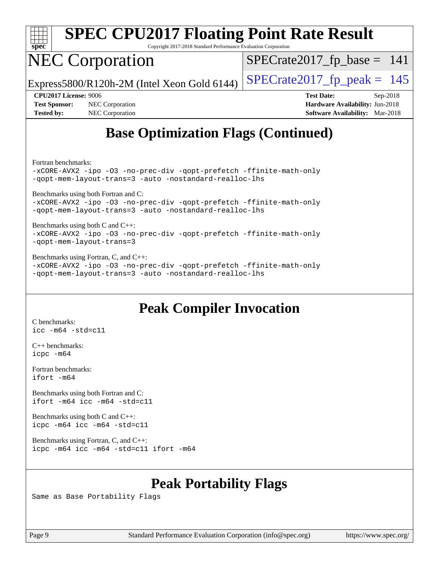

Copyright 2017-2018 Standard Performance Evaluation Corporation

## NEC Corporation

 $SPECTate2017_fp\_base = 141$ 

Express5800/R120h-2M (Intel Xeon Gold 6144)  $\left|$  [SPECrate2017\\_fp\\_peak =](http://www.spec.org/auto/cpu2017/Docs/result-fields.html#SPECrate2017fppeak) 145

**[Test Sponsor:](http://www.spec.org/auto/cpu2017/Docs/result-fields.html#TestSponsor)** NEC Corporation **[Hardware Availability:](http://www.spec.org/auto/cpu2017/Docs/result-fields.html#HardwareAvailability)** Jun-2018 **[Tested by:](http://www.spec.org/auto/cpu2017/Docs/result-fields.html#Testedby)** NEC Corporation **[Software Availability:](http://www.spec.org/auto/cpu2017/Docs/result-fields.html#SoftwareAvailability)** Mar-2018

**[CPU2017 License:](http://www.spec.org/auto/cpu2017/Docs/result-fields.html#CPU2017License)** 9006 **[Test Date:](http://www.spec.org/auto/cpu2017/Docs/result-fields.html#TestDate)** Sep-2018

## **[Base Optimization Flags \(Continued\)](http://www.spec.org/auto/cpu2017/Docs/result-fields.html#BaseOptimizationFlags)**

[Fortran benchmarks](http://www.spec.org/auto/cpu2017/Docs/result-fields.html#Fortranbenchmarks):

[-xCORE-AVX2](http://www.spec.org/cpu2017/results/res2018q4/cpu2017-20180917-08894.flags.html#user_FCbase_f-xCORE-AVX2) [-ipo](http://www.spec.org/cpu2017/results/res2018q4/cpu2017-20180917-08894.flags.html#user_FCbase_f-ipo) [-O3](http://www.spec.org/cpu2017/results/res2018q4/cpu2017-20180917-08894.flags.html#user_FCbase_f-O3) [-no-prec-div](http://www.spec.org/cpu2017/results/res2018q4/cpu2017-20180917-08894.flags.html#user_FCbase_f-no-prec-div) [-qopt-prefetch](http://www.spec.org/cpu2017/results/res2018q4/cpu2017-20180917-08894.flags.html#user_FCbase_f-qopt-prefetch) [-ffinite-math-only](http://www.spec.org/cpu2017/results/res2018q4/cpu2017-20180917-08894.flags.html#user_FCbase_f_finite_math_only_cb91587bd2077682c4b38af759c288ed7c732db004271a9512da14a4f8007909a5f1427ecbf1a0fb78ff2a814402c6114ac565ca162485bbcae155b5e4258871) [-qopt-mem-layout-trans=3](http://www.spec.org/cpu2017/results/res2018q4/cpu2017-20180917-08894.flags.html#user_FCbase_f-qopt-mem-layout-trans_de80db37974c74b1f0e20d883f0b675c88c3b01e9d123adea9b28688d64333345fb62bc4a798493513fdb68f60282f9a726aa07f478b2f7113531aecce732043) [-auto](http://www.spec.org/cpu2017/results/res2018q4/cpu2017-20180917-08894.flags.html#user_FCbase_f-auto) [-nostandard-realloc-lhs](http://www.spec.org/cpu2017/results/res2018q4/cpu2017-20180917-08894.flags.html#user_FCbase_f_2003_std_realloc_82b4557e90729c0f113870c07e44d33d6f5a304b4f63d4c15d2d0f1fab99f5daaed73bdb9275d9ae411527f28b936061aa8b9c8f2d63842963b95c9dd6426b8a)

[Benchmarks using both Fortran and C](http://www.spec.org/auto/cpu2017/Docs/result-fields.html#BenchmarksusingbothFortranandC):

[-xCORE-AVX2](http://www.spec.org/cpu2017/results/res2018q4/cpu2017-20180917-08894.flags.html#user_CC_FCbase_f-xCORE-AVX2) [-ipo](http://www.spec.org/cpu2017/results/res2018q4/cpu2017-20180917-08894.flags.html#user_CC_FCbase_f-ipo) [-O3](http://www.spec.org/cpu2017/results/res2018q4/cpu2017-20180917-08894.flags.html#user_CC_FCbase_f-O3) [-no-prec-div](http://www.spec.org/cpu2017/results/res2018q4/cpu2017-20180917-08894.flags.html#user_CC_FCbase_f-no-prec-div) [-qopt-prefetch](http://www.spec.org/cpu2017/results/res2018q4/cpu2017-20180917-08894.flags.html#user_CC_FCbase_f-qopt-prefetch) [-ffinite-math-only](http://www.spec.org/cpu2017/results/res2018q4/cpu2017-20180917-08894.flags.html#user_CC_FCbase_f_finite_math_only_cb91587bd2077682c4b38af759c288ed7c732db004271a9512da14a4f8007909a5f1427ecbf1a0fb78ff2a814402c6114ac565ca162485bbcae155b5e4258871) [-qopt-mem-layout-trans=3](http://www.spec.org/cpu2017/results/res2018q4/cpu2017-20180917-08894.flags.html#user_CC_FCbase_f-qopt-mem-layout-trans_de80db37974c74b1f0e20d883f0b675c88c3b01e9d123adea9b28688d64333345fb62bc4a798493513fdb68f60282f9a726aa07f478b2f7113531aecce732043) [-auto](http://www.spec.org/cpu2017/results/res2018q4/cpu2017-20180917-08894.flags.html#user_CC_FCbase_f-auto) [-nostandard-realloc-lhs](http://www.spec.org/cpu2017/results/res2018q4/cpu2017-20180917-08894.flags.html#user_CC_FCbase_f_2003_std_realloc_82b4557e90729c0f113870c07e44d33d6f5a304b4f63d4c15d2d0f1fab99f5daaed73bdb9275d9ae411527f28b936061aa8b9c8f2d63842963b95c9dd6426b8a)

[Benchmarks using both C and C++](http://www.spec.org/auto/cpu2017/Docs/result-fields.html#BenchmarksusingbothCandCXX): [-xCORE-AVX2](http://www.spec.org/cpu2017/results/res2018q4/cpu2017-20180917-08894.flags.html#user_CC_CXXbase_f-xCORE-AVX2) [-ipo](http://www.spec.org/cpu2017/results/res2018q4/cpu2017-20180917-08894.flags.html#user_CC_CXXbase_f-ipo) [-O3](http://www.spec.org/cpu2017/results/res2018q4/cpu2017-20180917-08894.flags.html#user_CC_CXXbase_f-O3) [-no-prec-div](http://www.spec.org/cpu2017/results/res2018q4/cpu2017-20180917-08894.flags.html#user_CC_CXXbase_f-no-prec-div) [-qopt-prefetch](http://www.spec.org/cpu2017/results/res2018q4/cpu2017-20180917-08894.flags.html#user_CC_CXXbase_f-qopt-prefetch) [-ffinite-math-only](http://www.spec.org/cpu2017/results/res2018q4/cpu2017-20180917-08894.flags.html#user_CC_CXXbase_f_finite_math_only_cb91587bd2077682c4b38af759c288ed7c732db004271a9512da14a4f8007909a5f1427ecbf1a0fb78ff2a814402c6114ac565ca162485bbcae155b5e4258871) [-qopt-mem-layout-trans=3](http://www.spec.org/cpu2017/results/res2018q4/cpu2017-20180917-08894.flags.html#user_CC_CXXbase_f-qopt-mem-layout-trans_de80db37974c74b1f0e20d883f0b675c88c3b01e9d123adea9b28688d64333345fb62bc4a798493513fdb68f60282f9a726aa07f478b2f7113531aecce732043)

[Benchmarks using Fortran, C, and C++:](http://www.spec.org/auto/cpu2017/Docs/result-fields.html#BenchmarksusingFortranCandCXX) [-xCORE-AVX2](http://www.spec.org/cpu2017/results/res2018q4/cpu2017-20180917-08894.flags.html#user_CC_CXX_FCbase_f-xCORE-AVX2) [-ipo](http://www.spec.org/cpu2017/results/res2018q4/cpu2017-20180917-08894.flags.html#user_CC_CXX_FCbase_f-ipo) [-O3](http://www.spec.org/cpu2017/results/res2018q4/cpu2017-20180917-08894.flags.html#user_CC_CXX_FCbase_f-O3) [-no-prec-div](http://www.spec.org/cpu2017/results/res2018q4/cpu2017-20180917-08894.flags.html#user_CC_CXX_FCbase_f-no-prec-div) [-qopt-prefetch](http://www.spec.org/cpu2017/results/res2018q4/cpu2017-20180917-08894.flags.html#user_CC_CXX_FCbase_f-qopt-prefetch) [-ffinite-math-only](http://www.spec.org/cpu2017/results/res2018q4/cpu2017-20180917-08894.flags.html#user_CC_CXX_FCbase_f_finite_math_only_cb91587bd2077682c4b38af759c288ed7c732db004271a9512da14a4f8007909a5f1427ecbf1a0fb78ff2a814402c6114ac565ca162485bbcae155b5e4258871) [-qopt-mem-layout-trans=3](http://www.spec.org/cpu2017/results/res2018q4/cpu2017-20180917-08894.flags.html#user_CC_CXX_FCbase_f-qopt-mem-layout-trans_de80db37974c74b1f0e20d883f0b675c88c3b01e9d123adea9b28688d64333345fb62bc4a798493513fdb68f60282f9a726aa07f478b2f7113531aecce732043) [-auto](http://www.spec.org/cpu2017/results/res2018q4/cpu2017-20180917-08894.flags.html#user_CC_CXX_FCbase_f-auto) [-nostandard-realloc-lhs](http://www.spec.org/cpu2017/results/res2018q4/cpu2017-20180917-08894.flags.html#user_CC_CXX_FCbase_f_2003_std_realloc_82b4557e90729c0f113870c07e44d33d6f5a304b4f63d4c15d2d0f1fab99f5daaed73bdb9275d9ae411527f28b936061aa8b9c8f2d63842963b95c9dd6426b8a)

### **[Peak Compiler Invocation](http://www.spec.org/auto/cpu2017/Docs/result-fields.html#PeakCompilerInvocation)**

[C benchmarks](http://www.spec.org/auto/cpu2017/Docs/result-fields.html#Cbenchmarks): [icc -m64 -std=c11](http://www.spec.org/cpu2017/results/res2018q4/cpu2017-20180917-08894.flags.html#user_CCpeak_intel_icc_64bit_c11_33ee0cdaae7deeeab2a9725423ba97205ce30f63b9926c2519791662299b76a0318f32ddfffdc46587804de3178b4f9328c46fa7c2b0cd779d7a61945c91cd35)

[C++ benchmarks:](http://www.spec.org/auto/cpu2017/Docs/result-fields.html#CXXbenchmarks) [icpc -m64](http://www.spec.org/cpu2017/results/res2018q4/cpu2017-20180917-08894.flags.html#user_CXXpeak_intel_icpc_64bit_4ecb2543ae3f1412ef961e0650ca070fec7b7afdcd6ed48761b84423119d1bf6bdf5cad15b44d48e7256388bc77273b966e5eb805aefd121eb22e9299b2ec9d9)

[Fortran benchmarks](http://www.spec.org/auto/cpu2017/Docs/result-fields.html#Fortranbenchmarks): [ifort -m64](http://www.spec.org/cpu2017/results/res2018q4/cpu2017-20180917-08894.flags.html#user_FCpeak_intel_ifort_64bit_24f2bb282fbaeffd6157abe4f878425411749daecae9a33200eee2bee2fe76f3b89351d69a8130dd5949958ce389cf37ff59a95e7a40d588e8d3a57e0c3fd751)

[Benchmarks using both Fortran and C](http://www.spec.org/auto/cpu2017/Docs/result-fields.html#BenchmarksusingbothFortranandC): [ifort -m64](http://www.spec.org/cpu2017/results/res2018q4/cpu2017-20180917-08894.flags.html#user_CC_FCpeak_intel_ifort_64bit_24f2bb282fbaeffd6157abe4f878425411749daecae9a33200eee2bee2fe76f3b89351d69a8130dd5949958ce389cf37ff59a95e7a40d588e8d3a57e0c3fd751) [icc -m64 -std=c11](http://www.spec.org/cpu2017/results/res2018q4/cpu2017-20180917-08894.flags.html#user_CC_FCpeak_intel_icc_64bit_c11_33ee0cdaae7deeeab2a9725423ba97205ce30f63b9926c2519791662299b76a0318f32ddfffdc46587804de3178b4f9328c46fa7c2b0cd779d7a61945c91cd35)

[Benchmarks using both C and C++](http://www.spec.org/auto/cpu2017/Docs/result-fields.html#BenchmarksusingbothCandCXX): [icpc -m64](http://www.spec.org/cpu2017/results/res2018q4/cpu2017-20180917-08894.flags.html#user_CC_CXXpeak_intel_icpc_64bit_4ecb2543ae3f1412ef961e0650ca070fec7b7afdcd6ed48761b84423119d1bf6bdf5cad15b44d48e7256388bc77273b966e5eb805aefd121eb22e9299b2ec9d9) [icc -m64 -std=c11](http://www.spec.org/cpu2017/results/res2018q4/cpu2017-20180917-08894.flags.html#user_CC_CXXpeak_intel_icc_64bit_c11_33ee0cdaae7deeeab2a9725423ba97205ce30f63b9926c2519791662299b76a0318f32ddfffdc46587804de3178b4f9328c46fa7c2b0cd779d7a61945c91cd35)

[Benchmarks using Fortran, C, and C++:](http://www.spec.org/auto/cpu2017/Docs/result-fields.html#BenchmarksusingFortranCandCXX) [icpc -m64](http://www.spec.org/cpu2017/results/res2018q4/cpu2017-20180917-08894.flags.html#user_CC_CXX_FCpeak_intel_icpc_64bit_4ecb2543ae3f1412ef961e0650ca070fec7b7afdcd6ed48761b84423119d1bf6bdf5cad15b44d48e7256388bc77273b966e5eb805aefd121eb22e9299b2ec9d9) [icc -m64 -std=c11](http://www.spec.org/cpu2017/results/res2018q4/cpu2017-20180917-08894.flags.html#user_CC_CXX_FCpeak_intel_icc_64bit_c11_33ee0cdaae7deeeab2a9725423ba97205ce30f63b9926c2519791662299b76a0318f32ddfffdc46587804de3178b4f9328c46fa7c2b0cd779d7a61945c91cd35) [ifort -m64](http://www.spec.org/cpu2017/results/res2018q4/cpu2017-20180917-08894.flags.html#user_CC_CXX_FCpeak_intel_ifort_64bit_24f2bb282fbaeffd6157abe4f878425411749daecae9a33200eee2bee2fe76f3b89351d69a8130dd5949958ce389cf37ff59a95e7a40d588e8d3a57e0c3fd751)

### **[Peak Portability Flags](http://www.spec.org/auto/cpu2017/Docs/result-fields.html#PeakPortabilityFlags)**

Same as Base Portability Flags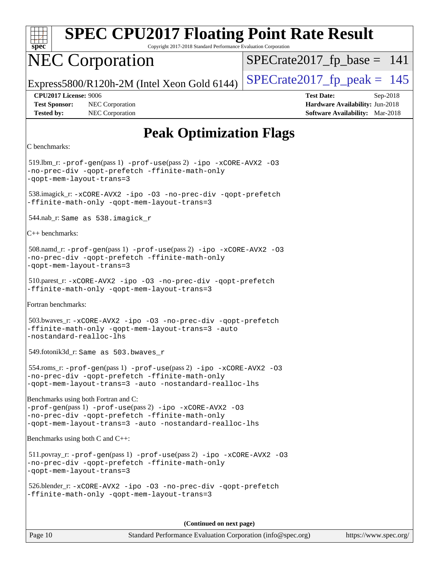| spec |  |  |  |  |  |
|------|--|--|--|--|--|

Copyright 2017-2018 Standard Performance Evaluation Corporation

## NEC Corporation

 $SPECrate2017_fp\_base = 141$ 

Express5800/R120h-2M (Intel Xeon Gold 6144)  $\left|$  [SPECrate2017\\_fp\\_peak =](http://www.spec.org/auto/cpu2017/Docs/result-fields.html#SPECrate2017fppeak) 145

**[Tested by:](http://www.spec.org/auto/cpu2017/Docs/result-fields.html#Testedby)** NEC Corporation **[Software Availability:](http://www.spec.org/auto/cpu2017/Docs/result-fields.html#SoftwareAvailability)** Mar-2018

**[CPU2017 License:](http://www.spec.org/auto/cpu2017/Docs/result-fields.html#CPU2017License)** 9006 **[Test Date:](http://www.spec.org/auto/cpu2017/Docs/result-fields.html#TestDate)** Sep-2018 **[Test Sponsor:](http://www.spec.org/auto/cpu2017/Docs/result-fields.html#TestSponsor)** NEC Corporation **[Hardware Availability:](http://www.spec.org/auto/cpu2017/Docs/result-fields.html#HardwareAvailability)** Jun-2018

## **[Peak Optimization Flags](http://www.spec.org/auto/cpu2017/Docs/result-fields.html#PeakOptimizationFlags)**

```
C benchmarks:
```
 519.lbm\_r: [-prof-gen](http://www.spec.org/cpu2017/results/res2018q4/cpu2017-20180917-08894.flags.html#user_peakPASS1_CFLAGSPASS1_LDFLAGS519_lbm_r_prof_gen_5aa4926d6013ddb2a31985c654b3eb18169fc0c6952a63635c234f711e6e63dd76e94ad52365559451ec499a2cdb89e4dc58ba4c67ef54ca681ffbe1461d6b36)(pass 1) [-prof-use](http://www.spec.org/cpu2017/results/res2018q4/cpu2017-20180917-08894.flags.html#user_peakPASS2_CFLAGSPASS2_LDFLAGS519_lbm_r_prof_use_1a21ceae95f36a2b53c25747139a6c16ca95bd9def2a207b4f0849963b97e94f5260e30a0c64f4bb623698870e679ca08317ef8150905d41bd88c6f78df73f19)(pass 2) [-ipo](http://www.spec.org/cpu2017/results/res2018q4/cpu2017-20180917-08894.flags.html#user_peakPASS1_COPTIMIZEPASS2_COPTIMIZE519_lbm_r_f-ipo) [-xCORE-AVX2](http://www.spec.org/cpu2017/results/res2018q4/cpu2017-20180917-08894.flags.html#user_peakPASS2_COPTIMIZE519_lbm_r_f-xCORE-AVX2) [-O3](http://www.spec.org/cpu2017/results/res2018q4/cpu2017-20180917-08894.flags.html#user_peakPASS1_COPTIMIZEPASS2_COPTIMIZE519_lbm_r_f-O3) [-no-prec-div](http://www.spec.org/cpu2017/results/res2018q4/cpu2017-20180917-08894.flags.html#user_peakPASS1_COPTIMIZEPASS2_COPTIMIZE519_lbm_r_f-no-prec-div) [-qopt-prefetch](http://www.spec.org/cpu2017/results/res2018q4/cpu2017-20180917-08894.flags.html#user_peakPASS1_COPTIMIZEPASS2_COPTIMIZE519_lbm_r_f-qopt-prefetch) [-ffinite-math-only](http://www.spec.org/cpu2017/results/res2018q4/cpu2017-20180917-08894.flags.html#user_peakPASS1_COPTIMIZEPASS2_COPTIMIZE519_lbm_r_f_finite_math_only_cb91587bd2077682c4b38af759c288ed7c732db004271a9512da14a4f8007909a5f1427ecbf1a0fb78ff2a814402c6114ac565ca162485bbcae155b5e4258871) [-qopt-mem-layout-trans=3](http://www.spec.org/cpu2017/results/res2018q4/cpu2017-20180917-08894.flags.html#user_peakPASS1_COPTIMIZEPASS2_COPTIMIZE519_lbm_r_f-qopt-mem-layout-trans_de80db37974c74b1f0e20d883f0b675c88c3b01e9d123adea9b28688d64333345fb62bc4a798493513fdb68f60282f9a726aa07f478b2f7113531aecce732043) 538.imagick\_r: [-xCORE-AVX2](http://www.spec.org/cpu2017/results/res2018q4/cpu2017-20180917-08894.flags.html#user_peakCOPTIMIZE538_imagick_r_f-xCORE-AVX2) [-ipo](http://www.spec.org/cpu2017/results/res2018q4/cpu2017-20180917-08894.flags.html#user_peakCOPTIMIZE538_imagick_r_f-ipo) [-O3](http://www.spec.org/cpu2017/results/res2018q4/cpu2017-20180917-08894.flags.html#user_peakCOPTIMIZE538_imagick_r_f-O3) [-no-prec-div](http://www.spec.org/cpu2017/results/res2018q4/cpu2017-20180917-08894.flags.html#user_peakCOPTIMIZE538_imagick_r_f-no-prec-div) [-qopt-prefetch](http://www.spec.org/cpu2017/results/res2018q4/cpu2017-20180917-08894.flags.html#user_peakCOPTIMIZE538_imagick_r_f-qopt-prefetch) [-ffinite-math-only](http://www.spec.org/cpu2017/results/res2018q4/cpu2017-20180917-08894.flags.html#user_peakCOPTIMIZE538_imagick_r_f_finite_math_only_cb91587bd2077682c4b38af759c288ed7c732db004271a9512da14a4f8007909a5f1427ecbf1a0fb78ff2a814402c6114ac565ca162485bbcae155b5e4258871) [-qopt-mem-layout-trans=3](http://www.spec.org/cpu2017/results/res2018q4/cpu2017-20180917-08894.flags.html#user_peakCOPTIMIZE538_imagick_r_f-qopt-mem-layout-trans_de80db37974c74b1f0e20d883f0b675c88c3b01e9d123adea9b28688d64333345fb62bc4a798493513fdb68f60282f9a726aa07f478b2f7113531aecce732043) 544.nab\_r: Same as 538.imagick\_r [C++ benchmarks](http://www.spec.org/auto/cpu2017/Docs/result-fields.html#CXXbenchmarks): 508.namd\_r: [-prof-gen](http://www.spec.org/cpu2017/results/res2018q4/cpu2017-20180917-08894.flags.html#user_peakPASS1_CXXFLAGSPASS1_LDFLAGS508_namd_r_prof_gen_5aa4926d6013ddb2a31985c654b3eb18169fc0c6952a63635c234f711e6e63dd76e94ad52365559451ec499a2cdb89e4dc58ba4c67ef54ca681ffbe1461d6b36)(pass 1) [-prof-use](http://www.spec.org/cpu2017/results/res2018q4/cpu2017-20180917-08894.flags.html#user_peakPASS2_CXXFLAGSPASS2_LDFLAGS508_namd_r_prof_use_1a21ceae95f36a2b53c25747139a6c16ca95bd9def2a207b4f0849963b97e94f5260e30a0c64f4bb623698870e679ca08317ef8150905d41bd88c6f78df73f19)(pass 2) [-ipo](http://www.spec.org/cpu2017/results/res2018q4/cpu2017-20180917-08894.flags.html#user_peakPASS1_CXXOPTIMIZEPASS2_CXXOPTIMIZE508_namd_r_f-ipo) [-xCORE-AVX2](http://www.spec.org/cpu2017/results/res2018q4/cpu2017-20180917-08894.flags.html#user_peakPASS2_CXXOPTIMIZE508_namd_r_f-xCORE-AVX2) [-O3](http://www.spec.org/cpu2017/results/res2018q4/cpu2017-20180917-08894.flags.html#user_peakPASS1_CXXOPTIMIZEPASS2_CXXOPTIMIZE508_namd_r_f-O3) [-no-prec-div](http://www.spec.org/cpu2017/results/res2018q4/cpu2017-20180917-08894.flags.html#user_peakPASS1_CXXOPTIMIZEPASS2_CXXOPTIMIZE508_namd_r_f-no-prec-div) [-qopt-prefetch](http://www.spec.org/cpu2017/results/res2018q4/cpu2017-20180917-08894.flags.html#user_peakPASS1_CXXOPTIMIZEPASS2_CXXOPTIMIZE508_namd_r_f-qopt-prefetch) [-ffinite-math-only](http://www.spec.org/cpu2017/results/res2018q4/cpu2017-20180917-08894.flags.html#user_peakPASS1_CXXOPTIMIZEPASS2_CXXOPTIMIZE508_namd_r_f_finite_math_only_cb91587bd2077682c4b38af759c288ed7c732db004271a9512da14a4f8007909a5f1427ecbf1a0fb78ff2a814402c6114ac565ca162485bbcae155b5e4258871) [-qopt-mem-layout-trans=3](http://www.spec.org/cpu2017/results/res2018q4/cpu2017-20180917-08894.flags.html#user_peakPASS1_CXXOPTIMIZEPASS2_CXXOPTIMIZE508_namd_r_f-qopt-mem-layout-trans_de80db37974c74b1f0e20d883f0b675c88c3b01e9d123adea9b28688d64333345fb62bc4a798493513fdb68f60282f9a726aa07f478b2f7113531aecce732043) 510.parest\_r: [-xCORE-AVX2](http://www.spec.org/cpu2017/results/res2018q4/cpu2017-20180917-08894.flags.html#user_peakCXXOPTIMIZE510_parest_r_f-xCORE-AVX2) [-ipo](http://www.spec.org/cpu2017/results/res2018q4/cpu2017-20180917-08894.flags.html#user_peakCXXOPTIMIZE510_parest_r_f-ipo) [-O3](http://www.spec.org/cpu2017/results/res2018q4/cpu2017-20180917-08894.flags.html#user_peakCXXOPTIMIZE510_parest_r_f-O3) [-no-prec-div](http://www.spec.org/cpu2017/results/res2018q4/cpu2017-20180917-08894.flags.html#user_peakCXXOPTIMIZE510_parest_r_f-no-prec-div) [-qopt-prefetch](http://www.spec.org/cpu2017/results/res2018q4/cpu2017-20180917-08894.flags.html#user_peakCXXOPTIMIZE510_parest_r_f-qopt-prefetch) [-ffinite-math-only](http://www.spec.org/cpu2017/results/res2018q4/cpu2017-20180917-08894.flags.html#user_peakCXXOPTIMIZE510_parest_r_f_finite_math_only_cb91587bd2077682c4b38af759c288ed7c732db004271a9512da14a4f8007909a5f1427ecbf1a0fb78ff2a814402c6114ac565ca162485bbcae155b5e4258871) [-qopt-mem-layout-trans=3](http://www.spec.org/cpu2017/results/res2018q4/cpu2017-20180917-08894.flags.html#user_peakCXXOPTIMIZE510_parest_r_f-qopt-mem-layout-trans_de80db37974c74b1f0e20d883f0b675c88c3b01e9d123adea9b28688d64333345fb62bc4a798493513fdb68f60282f9a726aa07f478b2f7113531aecce732043) [Fortran benchmarks:](http://www.spec.org/auto/cpu2017/Docs/result-fields.html#Fortranbenchmarks) 503.bwaves\_r: [-xCORE-AVX2](http://www.spec.org/cpu2017/results/res2018q4/cpu2017-20180917-08894.flags.html#user_peakFOPTIMIZE503_bwaves_r_f-xCORE-AVX2) [-ipo](http://www.spec.org/cpu2017/results/res2018q4/cpu2017-20180917-08894.flags.html#user_peakFOPTIMIZE503_bwaves_r_f-ipo) [-O3](http://www.spec.org/cpu2017/results/res2018q4/cpu2017-20180917-08894.flags.html#user_peakFOPTIMIZE503_bwaves_r_f-O3) [-no-prec-div](http://www.spec.org/cpu2017/results/res2018q4/cpu2017-20180917-08894.flags.html#user_peakFOPTIMIZE503_bwaves_r_f-no-prec-div) [-qopt-prefetch](http://www.spec.org/cpu2017/results/res2018q4/cpu2017-20180917-08894.flags.html#user_peakFOPTIMIZE503_bwaves_r_f-qopt-prefetch) [-ffinite-math-only](http://www.spec.org/cpu2017/results/res2018q4/cpu2017-20180917-08894.flags.html#user_peakFOPTIMIZE503_bwaves_r_f_finite_math_only_cb91587bd2077682c4b38af759c288ed7c732db004271a9512da14a4f8007909a5f1427ecbf1a0fb78ff2a814402c6114ac565ca162485bbcae155b5e4258871) [-qopt-mem-layout-trans=3](http://www.spec.org/cpu2017/results/res2018q4/cpu2017-20180917-08894.flags.html#user_peakFOPTIMIZE503_bwaves_r_f-qopt-mem-layout-trans_de80db37974c74b1f0e20d883f0b675c88c3b01e9d123adea9b28688d64333345fb62bc4a798493513fdb68f60282f9a726aa07f478b2f7113531aecce732043) [-auto](http://www.spec.org/cpu2017/results/res2018q4/cpu2017-20180917-08894.flags.html#user_peakFOPTIMIZE503_bwaves_r_f-auto) [-nostandard-realloc-lhs](http://www.spec.org/cpu2017/results/res2018q4/cpu2017-20180917-08894.flags.html#user_peakEXTRA_FOPTIMIZE503_bwaves_r_f_2003_std_realloc_82b4557e90729c0f113870c07e44d33d6f5a304b4f63d4c15d2d0f1fab99f5daaed73bdb9275d9ae411527f28b936061aa8b9c8f2d63842963b95c9dd6426b8a) 549.fotonik3d\_r: Same as 503.bwaves\_r 554.roms\_r: [-prof-gen](http://www.spec.org/cpu2017/results/res2018q4/cpu2017-20180917-08894.flags.html#user_peakPASS1_FFLAGSPASS1_LDFLAGS554_roms_r_prof_gen_5aa4926d6013ddb2a31985c654b3eb18169fc0c6952a63635c234f711e6e63dd76e94ad52365559451ec499a2cdb89e4dc58ba4c67ef54ca681ffbe1461d6b36)(pass 1) [-prof-use](http://www.spec.org/cpu2017/results/res2018q4/cpu2017-20180917-08894.flags.html#user_peakPASS2_FFLAGSPASS2_LDFLAGS554_roms_r_prof_use_1a21ceae95f36a2b53c25747139a6c16ca95bd9def2a207b4f0849963b97e94f5260e30a0c64f4bb623698870e679ca08317ef8150905d41bd88c6f78df73f19)(pass 2) [-ipo](http://www.spec.org/cpu2017/results/res2018q4/cpu2017-20180917-08894.flags.html#user_peakPASS1_FOPTIMIZEPASS2_FOPTIMIZE554_roms_r_f-ipo) [-xCORE-AVX2](http://www.spec.org/cpu2017/results/res2018q4/cpu2017-20180917-08894.flags.html#user_peakPASS2_FOPTIMIZE554_roms_r_f-xCORE-AVX2) [-O3](http://www.spec.org/cpu2017/results/res2018q4/cpu2017-20180917-08894.flags.html#user_peakPASS1_FOPTIMIZEPASS2_FOPTIMIZE554_roms_r_f-O3) [-no-prec-div](http://www.spec.org/cpu2017/results/res2018q4/cpu2017-20180917-08894.flags.html#user_peakPASS1_FOPTIMIZEPASS2_FOPTIMIZE554_roms_r_f-no-prec-div) [-qopt-prefetch](http://www.spec.org/cpu2017/results/res2018q4/cpu2017-20180917-08894.flags.html#user_peakPASS1_FOPTIMIZEPASS2_FOPTIMIZE554_roms_r_f-qopt-prefetch) [-ffinite-math-only](http://www.spec.org/cpu2017/results/res2018q4/cpu2017-20180917-08894.flags.html#user_peakPASS1_FOPTIMIZEPASS2_FOPTIMIZE554_roms_r_f_finite_math_only_cb91587bd2077682c4b38af759c288ed7c732db004271a9512da14a4f8007909a5f1427ecbf1a0fb78ff2a814402c6114ac565ca162485bbcae155b5e4258871) [-qopt-mem-layout-trans=3](http://www.spec.org/cpu2017/results/res2018q4/cpu2017-20180917-08894.flags.html#user_peakPASS1_FOPTIMIZEPASS2_FOPTIMIZE554_roms_r_f-qopt-mem-layout-trans_de80db37974c74b1f0e20d883f0b675c88c3b01e9d123adea9b28688d64333345fb62bc4a798493513fdb68f60282f9a726aa07f478b2f7113531aecce732043) [-auto](http://www.spec.org/cpu2017/results/res2018q4/cpu2017-20180917-08894.flags.html#user_peakPASS2_FOPTIMIZE554_roms_r_f-auto) [-nostandard-realloc-lhs](http://www.spec.org/cpu2017/results/res2018q4/cpu2017-20180917-08894.flags.html#user_peakEXTRA_FOPTIMIZE554_roms_r_f_2003_std_realloc_82b4557e90729c0f113870c07e44d33d6f5a304b4f63d4c15d2d0f1fab99f5daaed73bdb9275d9ae411527f28b936061aa8b9c8f2d63842963b95c9dd6426b8a) [Benchmarks using both Fortran and C](http://www.spec.org/auto/cpu2017/Docs/result-fields.html#BenchmarksusingbothFortranandC): [-prof-gen](http://www.spec.org/cpu2017/results/res2018q4/cpu2017-20180917-08894.flags.html#user_CC_FCpeak_prof_gen_5aa4926d6013ddb2a31985c654b3eb18169fc0c6952a63635c234f711e6e63dd76e94ad52365559451ec499a2cdb89e4dc58ba4c67ef54ca681ffbe1461d6b36)(pass 1) [-prof-use](http://www.spec.org/cpu2017/results/res2018q4/cpu2017-20180917-08894.flags.html#user_CC_FCpeak_prof_use_1a21ceae95f36a2b53c25747139a6c16ca95bd9def2a207b4f0849963b97e94f5260e30a0c64f4bb623698870e679ca08317ef8150905d41bd88c6f78df73f19)(pass 2) [-ipo](http://www.spec.org/cpu2017/results/res2018q4/cpu2017-20180917-08894.flags.html#user_CC_FCpeak_f-ipo) [-xCORE-AVX2](http://www.spec.org/cpu2017/results/res2018q4/cpu2017-20180917-08894.flags.html#user_CC_FCpeak_f-xCORE-AVX2) [-O3](http://www.spec.org/cpu2017/results/res2018q4/cpu2017-20180917-08894.flags.html#user_CC_FCpeak_f-O3) [-no-prec-div](http://www.spec.org/cpu2017/results/res2018q4/cpu2017-20180917-08894.flags.html#user_CC_FCpeak_f-no-prec-div) [-qopt-prefetch](http://www.spec.org/cpu2017/results/res2018q4/cpu2017-20180917-08894.flags.html#user_CC_FCpeak_f-qopt-prefetch) [-ffinite-math-only](http://www.spec.org/cpu2017/results/res2018q4/cpu2017-20180917-08894.flags.html#user_CC_FCpeak_f_finite_math_only_cb91587bd2077682c4b38af759c288ed7c732db004271a9512da14a4f8007909a5f1427ecbf1a0fb78ff2a814402c6114ac565ca162485bbcae155b5e4258871) [-qopt-mem-layout-trans=3](http://www.spec.org/cpu2017/results/res2018q4/cpu2017-20180917-08894.flags.html#user_CC_FCpeak_f-qopt-mem-layout-trans_de80db37974c74b1f0e20d883f0b675c88c3b01e9d123adea9b28688d64333345fb62bc4a798493513fdb68f60282f9a726aa07f478b2f7113531aecce732043) [-auto](http://www.spec.org/cpu2017/results/res2018q4/cpu2017-20180917-08894.flags.html#user_CC_FCpeak_f-auto) [-nostandard-realloc-lhs](http://www.spec.org/cpu2017/results/res2018q4/cpu2017-20180917-08894.flags.html#user_CC_FCpeak_f_2003_std_realloc_82b4557e90729c0f113870c07e44d33d6f5a304b4f63d4c15d2d0f1fab99f5daaed73bdb9275d9ae411527f28b936061aa8b9c8f2d63842963b95c9dd6426b8a) [Benchmarks using both C and C++:](http://www.spec.org/auto/cpu2017/Docs/result-fields.html#BenchmarksusingbothCandCXX) 511.povray\_r: [-prof-gen](http://www.spec.org/cpu2017/results/res2018q4/cpu2017-20180917-08894.flags.html#user_peakPASS1_CFLAGSPASS1_CXXFLAGSPASS1_LDFLAGS511_povray_r_prof_gen_5aa4926d6013ddb2a31985c654b3eb18169fc0c6952a63635c234f711e6e63dd76e94ad52365559451ec499a2cdb89e4dc58ba4c67ef54ca681ffbe1461d6b36)(pass 1) [-prof-use](http://www.spec.org/cpu2017/results/res2018q4/cpu2017-20180917-08894.flags.html#user_peakPASS2_CFLAGSPASS2_CXXFLAGSPASS2_LDFLAGS511_povray_r_prof_use_1a21ceae95f36a2b53c25747139a6c16ca95bd9def2a207b4f0849963b97e94f5260e30a0c64f4bb623698870e679ca08317ef8150905d41bd88c6f78df73f19)(pass 2) [-ipo](http://www.spec.org/cpu2017/results/res2018q4/cpu2017-20180917-08894.flags.html#user_peakPASS1_COPTIMIZEPASS1_CXXOPTIMIZEPASS2_COPTIMIZEPASS2_CXXOPTIMIZE511_povray_r_f-ipo) [-xCORE-AVX2](http://www.spec.org/cpu2017/results/res2018q4/cpu2017-20180917-08894.flags.html#user_peakPASS2_COPTIMIZEPASS2_CXXOPTIMIZE511_povray_r_f-xCORE-AVX2) [-O3](http://www.spec.org/cpu2017/results/res2018q4/cpu2017-20180917-08894.flags.html#user_peakPASS1_COPTIMIZEPASS1_CXXOPTIMIZEPASS2_COPTIMIZEPASS2_CXXOPTIMIZE511_povray_r_f-O3) [-no-prec-div](http://www.spec.org/cpu2017/results/res2018q4/cpu2017-20180917-08894.flags.html#user_peakPASS1_COPTIMIZEPASS1_CXXOPTIMIZEPASS2_COPTIMIZEPASS2_CXXOPTIMIZE511_povray_r_f-no-prec-div) [-qopt-prefetch](http://www.spec.org/cpu2017/results/res2018q4/cpu2017-20180917-08894.flags.html#user_peakPASS1_COPTIMIZEPASS1_CXXOPTIMIZEPASS2_COPTIMIZEPASS2_CXXOPTIMIZE511_povray_r_f-qopt-prefetch) [-ffinite-math-only](http://www.spec.org/cpu2017/results/res2018q4/cpu2017-20180917-08894.flags.html#user_peakPASS1_COPTIMIZEPASS1_CXXOPTIMIZEPASS2_COPTIMIZEPASS2_CXXOPTIMIZE511_povray_r_f_finite_math_only_cb91587bd2077682c4b38af759c288ed7c732db004271a9512da14a4f8007909a5f1427ecbf1a0fb78ff2a814402c6114ac565ca162485bbcae155b5e4258871) [-qopt-mem-layout-trans=3](http://www.spec.org/cpu2017/results/res2018q4/cpu2017-20180917-08894.flags.html#user_peakPASS1_COPTIMIZEPASS1_CXXOPTIMIZEPASS2_COPTIMIZEPASS2_CXXOPTIMIZE511_povray_r_f-qopt-mem-layout-trans_de80db37974c74b1f0e20d883f0b675c88c3b01e9d123adea9b28688d64333345fb62bc4a798493513fdb68f60282f9a726aa07f478b2f7113531aecce732043) 526.blender\_r: [-xCORE-AVX2](http://www.spec.org/cpu2017/results/res2018q4/cpu2017-20180917-08894.flags.html#user_peakCOPTIMIZECXXOPTIMIZE526_blender_r_f-xCORE-AVX2) [-ipo](http://www.spec.org/cpu2017/results/res2018q4/cpu2017-20180917-08894.flags.html#user_peakCOPTIMIZECXXOPTIMIZE526_blender_r_f-ipo) [-O3](http://www.spec.org/cpu2017/results/res2018q4/cpu2017-20180917-08894.flags.html#user_peakCOPTIMIZECXXOPTIMIZE526_blender_r_f-O3) [-no-prec-div](http://www.spec.org/cpu2017/results/res2018q4/cpu2017-20180917-08894.flags.html#user_peakCOPTIMIZECXXOPTIMIZE526_blender_r_f-no-prec-div) [-qopt-prefetch](http://www.spec.org/cpu2017/results/res2018q4/cpu2017-20180917-08894.flags.html#user_peakCOPTIMIZECXXOPTIMIZE526_blender_r_f-qopt-prefetch) [-ffinite-math-only](http://www.spec.org/cpu2017/results/res2018q4/cpu2017-20180917-08894.flags.html#user_peakCOPTIMIZECXXOPTIMIZE526_blender_r_f_finite_math_only_cb91587bd2077682c4b38af759c288ed7c732db004271a9512da14a4f8007909a5f1427ecbf1a0fb78ff2a814402c6114ac565ca162485bbcae155b5e4258871) [-qopt-mem-layout-trans=3](http://www.spec.org/cpu2017/results/res2018q4/cpu2017-20180917-08894.flags.html#user_peakCOPTIMIZECXXOPTIMIZE526_blender_r_f-qopt-mem-layout-trans_de80db37974c74b1f0e20d883f0b675c88c3b01e9d123adea9b28688d64333345fb62bc4a798493513fdb68f60282f9a726aa07f478b2f7113531aecce732043)

**(Continued on next page)**